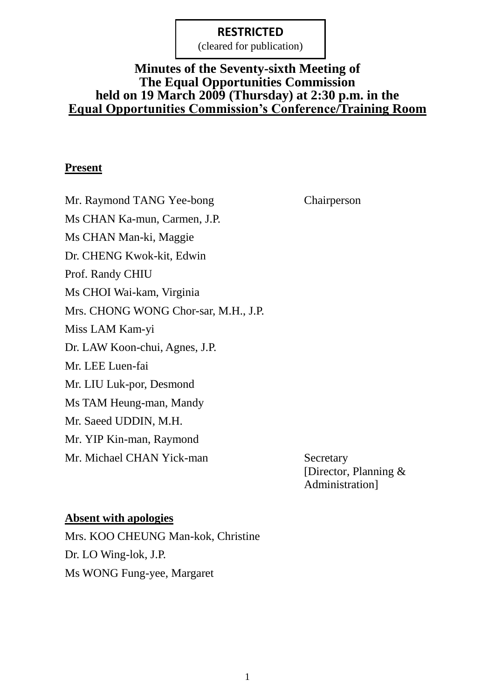(cleared for publication)

#### **Minutes of the Seventy-sixth Meeting of The Equal Opportunities Commission held on 19 March 2009 (Thursday) at 2:30 p.m. in the Equal Opportunities Commission's Conference/Training Room**

#### **Present**

Mr. Raymond TANG Yee-bong Chairperson Ms CHAN Ka-mun, Carmen, J.P. Ms CHAN Man-ki, Maggie Dr. CHENG Kwok-kit, Edwin Prof. Randy CHIU Ms CHOI Wai-kam, Virginia Mrs. CHONG WONG Chor-sar, M.H., J.P. Miss LAM Kam-yi Dr. LAW Koon-chui, Agnes, J.P. Mr. LEE Luen-fai Mr. LIU Luk-por, Desmond Ms TAM Heung-man, Mandy Mr. Saeed UDDIN, M.H. Mr. YIP Kin-man, Raymond Mr. Michael CHAN Yick-man Secretary

[Director, Planning & Administration]

#### **Absent with apologies**

Mrs. KOO CHEUNG Man-kok, Christine Dr. LO Wing-lok, J.P. Ms WONG Fung-yee, Margaret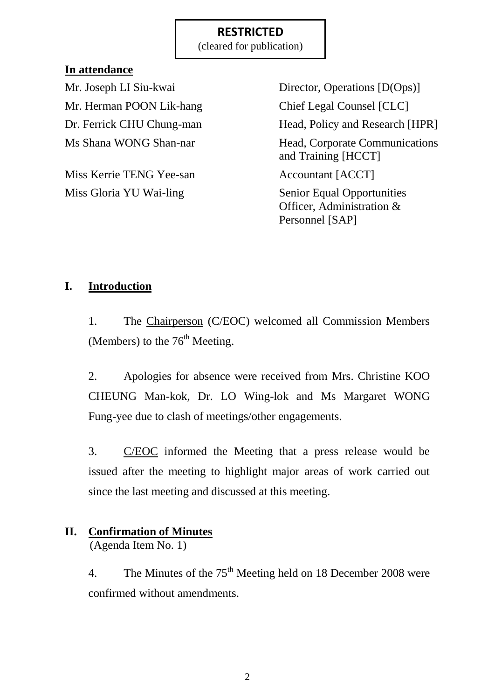(cleared for publication)

## **In attendance**

Mr. Herman POON Lik-hang Chief Legal Counsel [CLC]

Miss Kerrie TENG Yee-san Accountant [ACCT] Miss Gloria YU Wai-ling Senior Equal Opportunities

Mr. Joseph LI Siu-kwai Director, Operations [D(Ops)] Dr. Ferrick CHU Chung-man Head, Policy and Research [HPR] Ms Shana WONG Shan-nar Head, Corporate Communications and Training [HCCT] Officer, Administration &

Personnel [SAP]

## **I. Introduction**

1. The Chairperson (C/EOC) welcomed all Commission Members (Members) to the  $76<sup>th</sup>$  Meeting.

2. Apologies for absence were received from Mrs. Christine KOO CHEUNG Man-kok, Dr. LO Wing-lok and Ms Margaret WONG Fung-yee due to clash of meetings/other engagements.

3. C/EOC informed the Meeting that a press release would be issued after the meeting to highlight major areas of work carried out since the last meeting and discussed at this meeting.

# **II. Confirmation of Minutes**

(Agenda Item No. 1)

4. The Minutes of the  $75<sup>th</sup>$  Meeting held on 18 December 2008 were confirmed without amendments.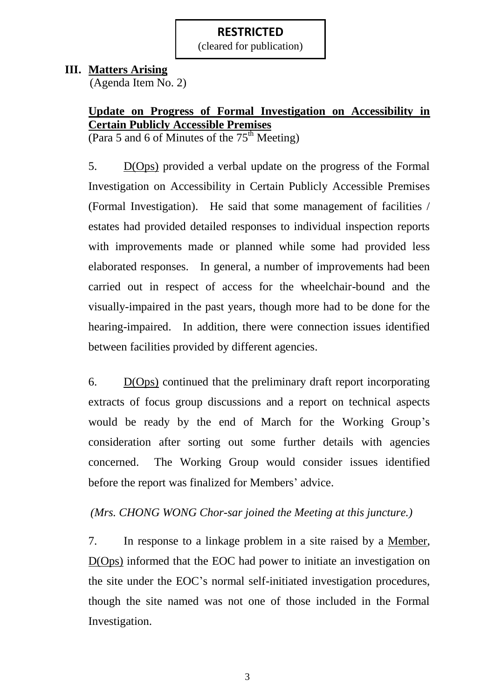(cleared for publication)

#### **III. Matters Arising**

(Agenda Item No. 2)

## **Update on Progress of Formal Investigation on Accessibility in Certain Publicly Accessible Premises**

(Para 5 and 6 of Minutes of the  $75<sup>th</sup>$  Meeting)

5. D(Ops) provided a verbal update on the progress of the Formal Investigation on Accessibility in Certain Publicly Accessible Premises (Formal Investigation). He said that some management of facilities / estates had provided detailed responses to individual inspection reports with improvements made or planned while some had provided less elaborated responses. In general, a number of improvements had been carried out in respect of access for the wheelchair-bound and the visually-impaired in the past years, though more had to be done for the hearing-impaired. In addition, there were connection issues identified between facilities provided by different agencies.

6. D(Ops) continued that the preliminary draft report incorporating extracts of focus group discussions and a report on technical aspects would be ready by the end of March for the Working Group's consideration after sorting out some further details with agencies concerned. The Working Group would consider issues identified before the report was finalized for Members' advice.

## *(Mrs. CHONG WONG Chor-sar joined the Meeting at this juncture.)*

7. In response to a linkage problem in a site raised by a Member, D(Ops) informed that the EOC had power to initiate an investigation on the site under the EOC"s normal self-initiated investigation procedures, though the site named was not one of those included in the Formal Investigation.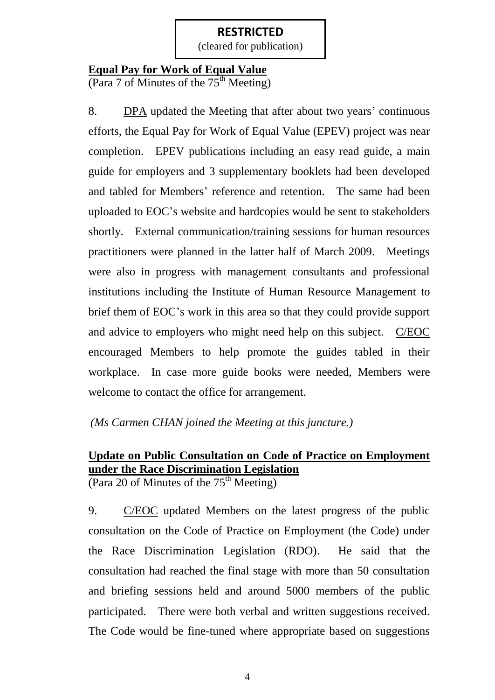(cleared for publication)

#### **Equal Pay for Work of Equal Value**

(Para 7 of Minutes of the  $75<sup>th</sup>$  Meeting)

8. DPA updated the Meeting that after about two years' continuous efforts, the Equal Pay for Work of Equal Value (EPEV) project was near completion. EPEV publications including an easy read guide, a main guide for employers and 3 supplementary booklets had been developed and tabled for Members' reference and retention. The same had been uploaded to EOC"s website and hardcopies would be sent to stakeholders shortly. External communication/training sessions for human resources practitioners were planned in the latter half of March 2009. Meetings were also in progress with management consultants and professional institutions including the Institute of Human Resource Management to brief them of EOC"s work in this area so that they could provide support and advice to employers who might need help on this subject. C/EOC encouraged Members to help promote the guides tabled in their workplace. In case more guide books were needed, Members were welcome to contact the office for arrangement.

## *(Ms Carmen CHAN joined the Meeting at this juncture.)*

# **Update on Public Consultation on Code of Practice on Employment under the Race Discrimination Legislation**

(Para 20 of Minutes of the  $75<sup>th</sup>$  Meeting)

9. C/EOC updated Members on the latest progress of the public consultation on the Code of Practice on Employment (the Code) under the Race Discrimination Legislation (RDO). He said that the consultation had reached the final stage with more than 50 consultation and briefing sessions held and around 5000 members of the public participated. There were both verbal and written suggestions received. The Code would be fine-tuned where appropriate based on suggestions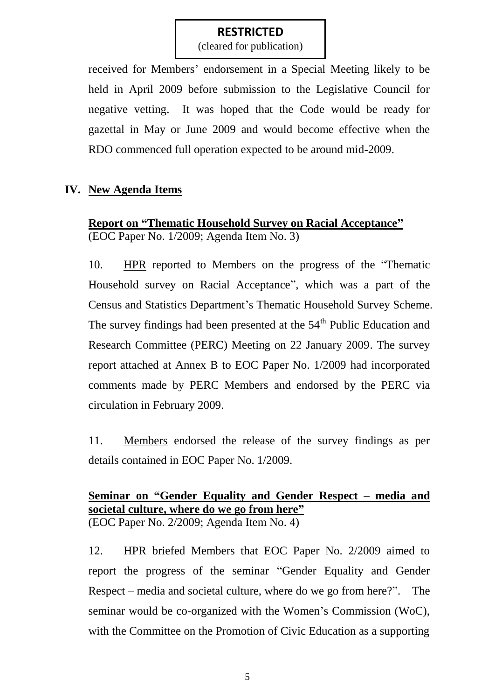(cleared for publication)

received for Members" endorsement in a Special Meeting likely to be held in April 2009 before submission to the Legislative Council for negative vetting. It was hoped that the Code would be ready for gazettal in May or June 2009 and would become effective when the RDO commenced full operation expected to be around mid-2009.

## **IV. New Agenda Items**

**Report on "Thematic Household Survey on Racial Acceptance"** (EOC Paper No. 1/2009; Agenda Item No. 3)

10. HPR reported to Members on the progress of the "Thematic Household survey on Racial Acceptance", which was a part of the Census and Statistics Department"s Thematic Household Survey Scheme. The survey findings had been presented at the  $54<sup>th</sup>$  Public Education and Research Committee (PERC) Meeting on 22 January 2009. The survey report attached at Annex B to EOC Paper No. 1/2009 had incorporated comments made by PERC Members and endorsed by the PERC via circulation in February 2009.

11. Members endorsed the release of the survey findings as per details contained in EOC Paper No. 1/2009.

#### **Seminar on "Gender Equality and Gender Respect – media and societal culture, where do we go from here"** (EOC Paper No. 2/2009; Agenda Item No. 4)

12. HPR briefed Members that EOC Paper No. 2/2009 aimed to report the progress of the seminar "Gender Equality and Gender Respect – media and societal culture, where do we go from here?". The seminar would be co-organized with the Women"s Commission (WoC), with the Committee on the Promotion of Civic Education as a supporting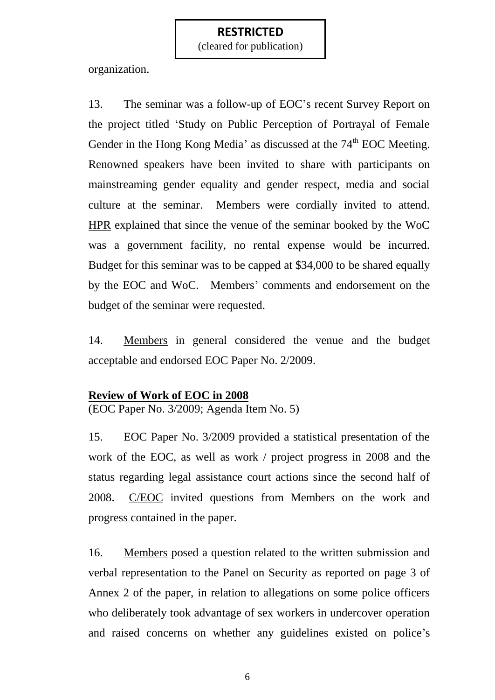(cleared for publication)

organization.

13. The seminar was a follow-up of EOC"s recent Survey Report on the project titled "Study on Public Perception of Portrayal of Female Gender in the Hong Kong Media' as discussed at the 74<sup>th</sup> EOC Meeting. Renowned speakers have been invited to share with participants on mainstreaming gender equality and gender respect, media and social culture at the seminar. Members were cordially invited to attend. HPR explained that since the venue of the seminar booked by the WoC was a government facility, no rental expense would be incurred. Budget for this seminar was to be capped at \$34,000 to be shared equally by the EOC and WoC. Members' comments and endorsement on the budget of the seminar were requested.

14. Members in general considered the venue and the budget acceptable and endorsed EOC Paper No. 2/2009.

#### **Review of Work of EOC in 2008**

(EOC Paper No. 3/2009; Agenda Item No. 5)

15. EOC Paper No. 3/2009 provided a statistical presentation of the work of the EOC, as well as work / project progress in 2008 and the status regarding legal assistance court actions since the second half of 2008. C/EOC invited questions from Members on the work and progress contained in the paper.

16. Members posed a question related to the written submission and verbal representation to the Panel on Security as reported on page 3 of Annex 2 of the paper, in relation to allegations on some police officers who deliberately took advantage of sex workers in undercover operation and raised concerns on whether any guidelines existed on police's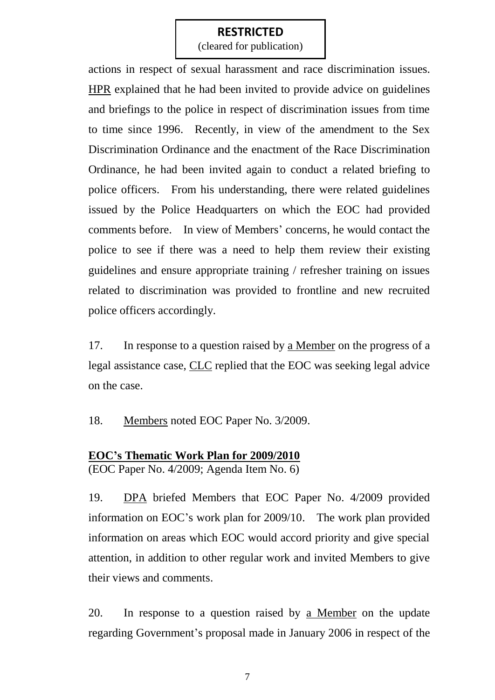(cleared for publication)

actions in respect of sexual harassment and race discrimination issues. HPR explained that he had been invited to provide advice on guidelines and briefings to the police in respect of discrimination issues from time to time since 1996. Recently, in view of the amendment to the Sex Discrimination Ordinance and the enactment of the Race Discrimination Ordinance, he had been invited again to conduct a related briefing to police officers. From his understanding, there were related guidelines issued by the Police Headquarters on which the EOC had provided comments before. In view of Members' concerns, he would contact the police to see if there was a need to help them review their existing guidelines and ensure appropriate training / refresher training on issues related to discrimination was provided to frontline and new recruited police officers accordingly.

17. In response to a question raised by a Member on the progress of a legal assistance case, CLC replied that the EOC was seeking legal advice on the case.

18. Members noted EOC Paper No. 3/2009.

#### **EOC's Thematic Work Plan for 2009/2010**

(EOC Paper No. 4/2009; Agenda Item No. 6)

19. DPA briefed Members that EOC Paper No. 4/2009 provided information on EOC"s work plan for 2009/10. The work plan provided information on areas which EOC would accord priority and give special attention, in addition to other regular work and invited Members to give their views and comments.

20. In response to a question raised by a Member on the update regarding Government's proposal made in January 2006 in respect of the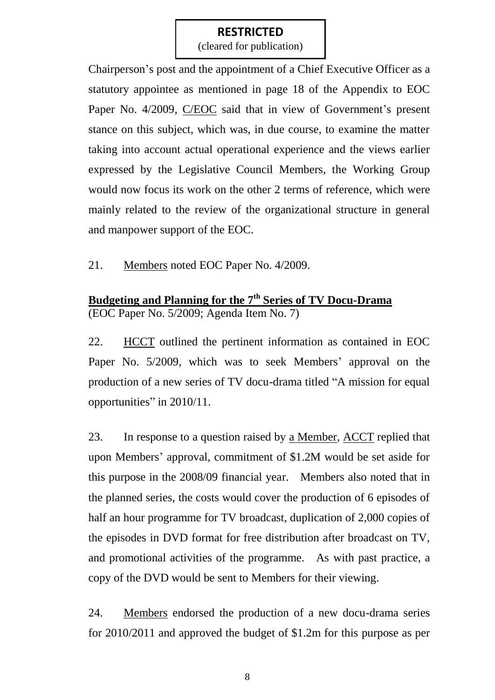(cleared for publication)

Chairperson"s post and the appointment of a Chief Executive Officer as a statutory appointee as mentioned in page 18 of the Appendix to EOC Paper No. 4/2009, C/EOC said that in view of Government's present stance on this subject, which was, in due course, to examine the matter taking into account actual operational experience and the views earlier expressed by the Legislative Council Members, the Working Group would now focus its work on the other 2 terms of reference, which were mainly related to the review of the organizational structure in general and manpower support of the EOC.

21. Members noted EOC Paper No. 4/2009.

#### **Budgeting and Planning for the 7th Series of TV Docu-Drama** (EOC Paper No. 5/2009; Agenda Item No. 7)

22. HCCT outlined the pertinent information as contained in EOC Paper No. 5/2009, which was to seek Members' approval on the production of a new series of TV docu-drama titled "A mission for equal opportunities" in 2010/11.

23. In response to a question raised by a Member, ACCT replied that upon Members" approval, commitment of \$1.2M would be set aside for this purpose in the 2008/09 financial year. Members also noted that in the planned series, the costs would cover the production of 6 episodes of half an hour programme for TV broadcast, duplication of 2,000 copies of the episodes in DVD format for free distribution after broadcast on TV, and promotional activities of the programme. As with past practice, a copy of the DVD would be sent to Members for their viewing.

24. Members endorsed the production of a new docu-drama series for 2010/2011 and approved the budget of \$1.2m for this purpose as per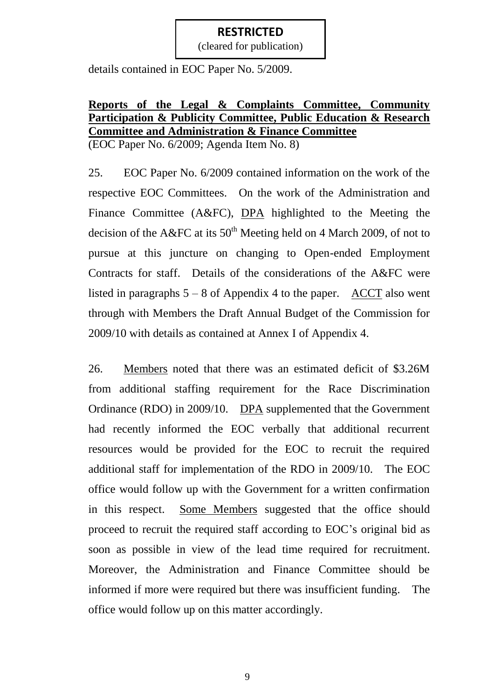(cleared for publication)

details contained in EOC Paper No. 5/2009.

# **Reports of the Legal & Complaints Committee, Community Participation & Publicity Committee, Public Education & Research Committee and Administration & Finance Committee**

(EOC Paper No. 6/2009; Agenda Item No. 8)

25. EOC Paper No. 6/2009 contained information on the work of the respective EOC Committees. On the work of the Administration and Finance Committee (A&FC), DPA highlighted to the Meeting the decision of the A&FC at its  $50<sup>th</sup>$  Meeting held on 4 March 2009, of not to pursue at this juncture on changing to Open-ended Employment Contracts for staff. Details of the considerations of the A&FC were listed in paragraphs  $5 - 8$  of Appendix 4 to the paper. ACCT also went through with Members the Draft Annual Budget of the Commission for 2009/10 with details as contained at Annex I of Appendix 4.

26. Members noted that there was an estimated deficit of \$3.26M from additional staffing requirement for the Race Discrimination Ordinance (RDO) in 2009/10. DPA supplemented that the Government had recently informed the EOC verbally that additional recurrent resources would be provided for the EOC to recruit the required additional staff for implementation of the RDO in 2009/10. The EOC office would follow up with the Government for a written confirmation in this respect. Some Members suggested that the office should proceed to recruit the required staff according to EOC"s original bid as soon as possible in view of the lead time required for recruitment. Moreover, the Administration and Finance Committee should be informed if more were required but there was insufficient funding. The office would follow up on this matter accordingly.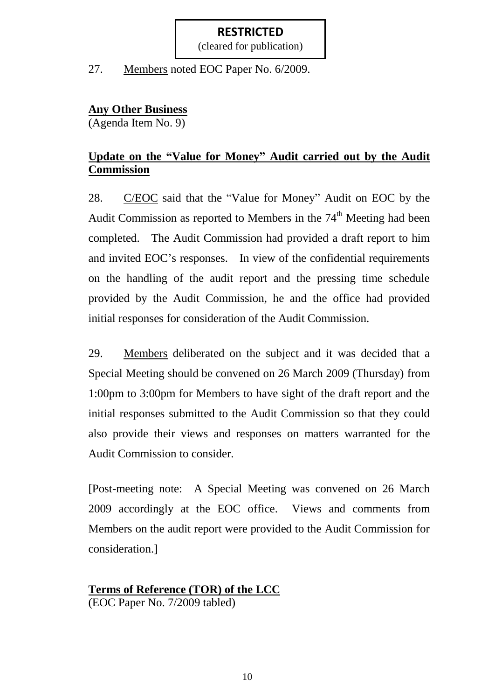(cleared for publication)

27. Members noted EOC Paper No. 6/2009.

#### **Any Other Business**

(Agenda Item No. 9)

## **Update on the "Value for Money" Audit carried out by the Audit Commission**

28. C/EOC said that the "Value for Money" Audit on EOC by the Audit Commission as reported to Members in the 74<sup>th</sup> Meeting had been completed. The Audit Commission had provided a draft report to him and invited EOC"s responses. In view of the confidential requirements on the handling of the audit report and the pressing time schedule provided by the Audit Commission, he and the office had provided initial responses for consideration of the Audit Commission.

29. Members deliberated on the subject and it was decided that a Special Meeting should be convened on 26 March 2009 (Thursday) from 1:00pm to 3:00pm for Members to have sight of the draft report and the initial responses submitted to the Audit Commission so that they could also provide their views and responses on matters warranted for the Audit Commission to consider.

[Post-meeting note: A Special Meeting was convened on 26 March 2009 accordingly at the EOC office. Views and comments from Members on the audit report were provided to the Audit Commission for consideration.]

## **Terms of Reference (TOR) of the LCC**

(EOC Paper No. 7/2009 tabled)